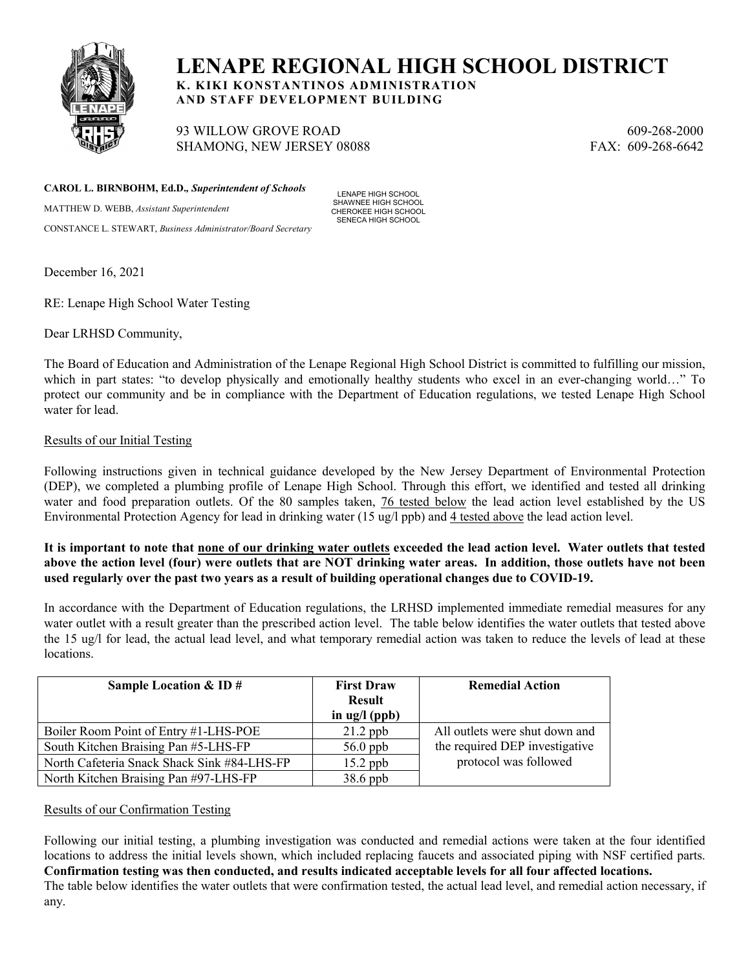

# **LENAPE REGIONAL HIGH SCHOOL DISTRICT**

**K. KIKI KONSTANTINOS ADMINISTRATION AND STAFF DEVELOPMENT BUILDING**

93 WILLOW GROVE ROAD 609-268-2000 SHAMONG, NEW JERSEY 08088 FAX: 609-268-6642

**CAROL L. BIRNBOHM, Ed.D.***, Superintendent of Schools*

MATTHEW D. WEBB, *Assistant Superintendent*  CONSTANCE L. STEWART, *Business Administrator/Board Secretary*

LENAPE HIGH SCHOOL SHAWNEE HIGH SCHOOL CHEROKEE HIGH SCHOOL SENECA HIGH SCHOOL

December 16, 2021

RE: Lenape High School Water Testing

Dear LRHSD Community,

The Board of Education and Administration of the Lenape Regional High School District is committed to fulfilling our mission, which in part states: "to develop physically and emotionally healthy students who excel in an ever-changing world…" To protect our community and be in compliance with the Department of Education regulations, we tested Lenape High School water for lead.

## Results of our Initial Testing

Following instructions given in technical guidance developed by the New Jersey Department of Environmental Protection (DEP), we completed a plumbing profile of Lenape High School. Through this effort, we identified and tested all drinking water and food preparation outlets. Of the 80 samples taken, 76 tested below the lead action level established by the US Environmental Protection Agency for lead in drinking water (15 ug/l ppb) and 4 tested above the lead action level.

**It is important to note that none of our drinking water outlets exceeded the lead action level. Water outlets that tested above the action level (four) were outlets that are NOT drinking water areas. In addition, those outlets have not been used regularly over the past two years as a result of building operational changes due to COVID-19.**

In accordance with the Department of Education regulations, the LRHSD implemented immediate remedial measures for any water outlet with a result greater than the prescribed action level. The table below identifies the water outlets that tested above the 15 ug/l for lead, the actual lead level, and what temporary remedial action was taken to reduce the levels of lead at these locations.

| Sample Location $&$ ID $#$                  | <b>First Draw</b><br><b>Result</b><br>in $\lg$ /l (ppb) | <b>Remedial Action</b>         |
|---------------------------------------------|---------------------------------------------------------|--------------------------------|
| Boiler Room Point of Entry #1-LHS-POE       | $21.2$ ppb                                              | All outlets were shut down and |
| South Kitchen Braising Pan #5-LHS-FP        | $56.0$ ppb                                              | the required DEP investigative |
| North Cafeteria Snack Shack Sink #84-LHS-FP | $15.2$ ppb                                              | protocol was followed          |
| North Kitchen Braising Pan #97-LHS-FP       | $38.6$ ppb                                              |                                |

#### Results of our Confirmation Testing

Following our initial testing, a plumbing investigation was conducted and remedial actions were taken at the four identified locations to address the initial levels shown, which included replacing faucets and associated piping with NSF certified parts. **Confirmation testing was then conducted, and results indicated acceptable levels for all four affected locations.** The table below identifies the water outlets that were confirmation tested, the actual lead level, and remedial action necessary, if any.